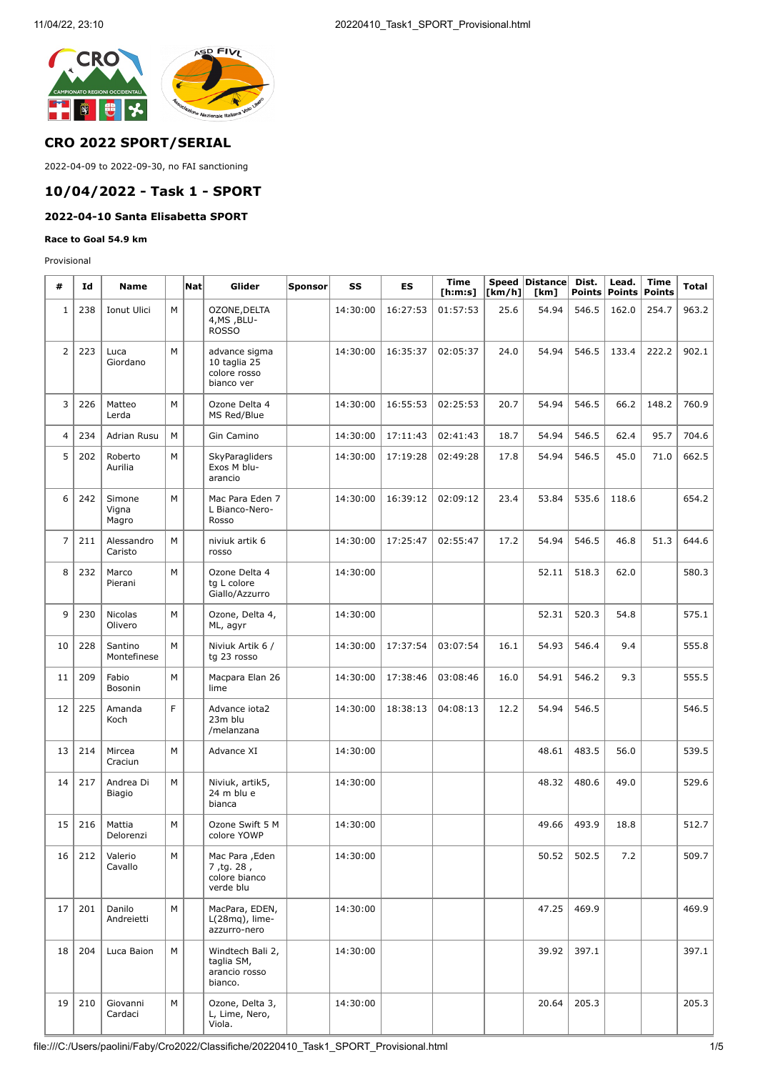

## **CRO 2022 SPORT/SERIAL**

2022-04-09 to 2022-09-30, no FAI sanctioning

## **10/04/2022 - Task 1 - SPORT**

# **2022-04-10 Santa Elisabetta SPORT**

#### **Race to Goal 54.9 km**

Provisional

| #              | Id  | <b>Name</b>               |   | <b>Nat</b> | Glider                                                      | Sponsor | SS       | ES       | <b>Time</b><br>[ <b>h</b> : <b>m</b> : <b>s</b> ] | [km/h] | Speed Distance<br>[km] | Dist.<br><b>Points</b> | Lead.<br><b>Points</b> | <b>Time</b><br><b>Points</b> | <b>Total</b> |
|----------------|-----|---------------------------|---|------------|-------------------------------------------------------------|---------|----------|----------|---------------------------------------------------|--------|------------------------|------------------------|------------------------|------------------------------|--------------|
| $1\,$          | 238 | Ionut Ulici               | M |            | OZONE, DELTA<br>4, MS, BLU-<br><b>ROSSO</b>                 |         | 14:30:00 | 16:27:53 | 01:57:53                                          | 25.6   | 54.94                  | 546.5                  | 162.0                  | 254.7                        | 963.2        |
| $\overline{2}$ | 223 | Luca<br>Giordano          | M |            | advance sigma<br>10 taglia 25<br>colore rosso<br>bianco ver |         | 14:30:00 | 16:35:37 | 02:05:37                                          | 24.0   | 54.94                  | 546.5                  | 133.4                  | 222.2                        | 902.1        |
| 3              | 226 | Matteo<br>Lerda           | M |            | Ozone Delta 4<br>MS Red/Blue                                |         | 14:30:00 | 16:55:53 | 02:25:53                                          | 20.7   | 54.94                  | 546.5                  | 66.2                   | 148.2                        | 760.9        |
| 4              | 234 | Adrian Rusu               | M |            | Gin Camino                                                  |         | 14:30:00 | 17:11:43 | 02:41:43                                          | 18.7   | 54.94                  | 546.5                  | 62.4                   | 95.7                         | 704.6        |
| 5              | 202 | Roberto<br>Aurilia        | М |            | SkyParagliders<br>Exos M blu-<br>arancio                    |         | 14:30:00 | 17:19:28 | 02:49:28                                          | 17.8   | 54.94                  | 546.5                  | 45.0                   | 71.0                         | 662.5        |
| 6              | 242 | Simone<br>Vigna<br>Magro  | M |            | Mac Para Eden 7<br>L Bianco-Nero-<br>Rosso                  |         | 14:30:00 | 16:39:12 | 02:09:12                                          | 23.4   | 53.84                  | 535.6                  | 118.6                  |                              | 654.2        |
| $\overline{7}$ | 211 | Alessandro<br>Caristo     | M |            | niviuk artik 6<br>rosso                                     |         | 14:30:00 | 17:25:47 | 02:55:47                                          | 17.2   | 54.94                  | 546.5                  | 46.8                   | 51.3                         | 644.6        |
| 8              | 232 | Marco<br>Pierani          | M |            | Ozone Delta 4<br>tg L colore<br>Giallo/Azzurro              |         | 14:30:00 |          |                                                   |        | 52.11                  | 518.3                  | 62.0                   |                              | 580.3        |
| 9              | 230 | <b>Nicolas</b><br>Olivero | M |            | Ozone, Delta 4,<br>ML, agyr                                 |         | 14:30:00 |          |                                                   |        | 52.31                  | 520.3                  | 54.8                   |                              | 575.1        |
| 10             | 228 | Santino<br>Montefinese    | M |            | Niviuk Artik 6 /<br>tg 23 rosso                             |         | 14:30:00 | 17:37:54 | 03:07:54                                          | 16.1   | 54.93                  | 546.4                  | 9.4                    |                              | 555.8        |
| 11             | 209 | Fabio<br>Bosonin          | M |            | Macpara Elan 26<br>lime                                     |         | 14:30:00 | 17:38:46 | 03:08:46                                          | 16.0   | 54.91                  | 546.2                  | 9.3                    |                              | 555.5        |
| 12             | 225 | Amanda<br>Koch            | F |            | Advance iota2<br>23m blu<br>/melanzana                      |         | 14:30:00 | 18:38:13 | 04:08:13                                          | 12.2   | 54.94                  | 546.5                  |                        |                              | 546.5        |
| 13             | 214 | Mircea<br>Craciun         | M |            | Advance XI                                                  |         | 14:30:00 |          |                                                   |        | 48.61                  | 483.5                  | 56.0                   |                              | 539.5        |
| 14             | 217 | Andrea Di<br>Biagio       | M |            | Niviuk, artik5,<br>24 m blu e<br>bianca                     |         | 14:30:00 |          |                                                   |        | 48.32                  | 480.6                  | 49.0                   |                              | 529.6        |
| 15             | 216 | Mattia<br>Delorenzi       | M |            | Ozone Swift 5 M<br>colore YOWP                              |         | 14:30:00 |          |                                                   |        | 49.66                  | 493.9                  | 18.8                   |                              | 512.7        |
| 16             | 212 | Valerio<br>Cavallo        | М |            | Mac Para , Eden<br>7, tg. 28,<br>colore bianco<br>verde blu |         | 14:30:00 |          |                                                   |        | 50.52                  | 502.5                  | 7.2                    |                              | 509.7        |
| 17             | 201 | Danilo<br>Andreietti      | M |            | MacPara, EDEN,<br>$L(28mq)$ , lime-<br>azzurro-nero         |         | 14:30:00 |          |                                                   |        | 47.25                  | 469.9                  |                        |                              | 469.9        |
| 18             | 204 | Luca Baion                | M |            | Windtech Bali 2,<br>taglia SM,<br>arancio rosso<br>bianco.  |         | 14:30:00 |          |                                                   |        | 39.92                  | 397.1                  |                        |                              | 397.1        |
| 19             | 210 | Giovanni<br>Cardaci       | М |            | Ozone, Delta 3,<br>L, Lime, Nero,<br>Viola.                 |         | 14:30:00 |          |                                                   |        | 20.64                  | 205.3                  |                        |                              | 205.3        |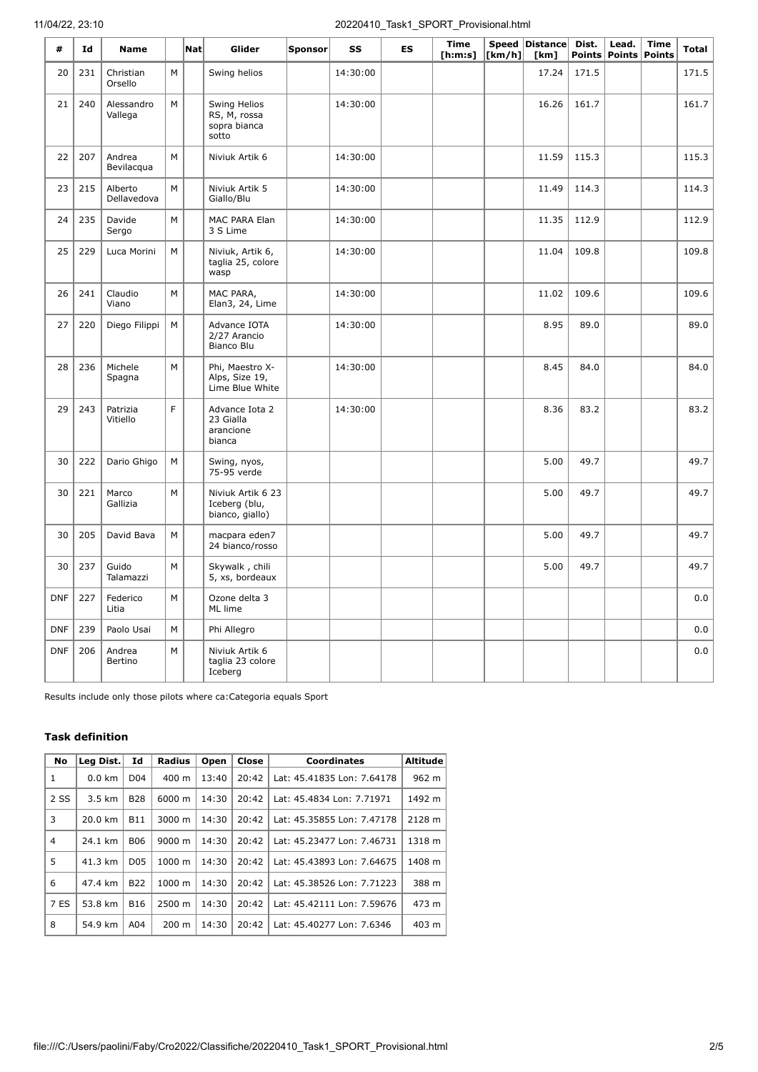| #          | Id  | <b>Name</b>            |   | $\mathsf{Nat}$ | Glider                                                | <b>Sponsor</b> | SS       | <b>ES</b> | Time<br>[ <b>h</b> : <b>m</b> : <b>s</b> ] | [km/h] | Speed Distance Dist.<br>[km] | <b>Points</b> | Lead. | <b>Time</b><br>Points Points | Total |
|------------|-----|------------------------|---|----------------|-------------------------------------------------------|----------------|----------|-----------|--------------------------------------------|--------|------------------------------|---------------|-------|------------------------------|-------|
| 20         | 231 | Christian<br>Orsello   | M |                | Swing helios                                          |                | 14:30:00 |           |                                            |        | 17.24                        | 171.5         |       |                              | 171.5 |
| 21         | 240 | Alessandro<br>Vallega  | M |                | Swing Helios<br>RS, M, rossa<br>sopra bianca<br>sotto |                | 14:30:00 |           |                                            |        | 16.26                        | 161.7         |       |                              | 161.7 |
| 22         | 207 | Andrea<br>Bevilacqua   | M |                | Niviuk Artik 6                                        |                | 14:30:00 |           |                                            |        | 11.59                        | 115.3         |       |                              | 115.3 |
| 23         | 215 | Alberto<br>Dellavedova | M |                | Niviuk Artik 5<br>Giallo/Blu                          |                | 14:30:00 |           |                                            |        | 11.49                        | 114.3         |       |                              | 114.3 |
| 24         | 235 | Davide<br>Sergo        | M |                | MAC PARA Elan<br>3 S Lime                             |                | 14:30:00 |           |                                            |        | 11.35                        | 112.9         |       |                              | 112.9 |
| 25         | 229 | Luca Morini            | M |                | Niviuk, Artik 6,<br>taglia 25, colore<br>wasp         |                | 14:30:00 |           |                                            |        | 11.04                        | 109.8         |       |                              | 109.8 |
| 26         | 241 | Claudio<br>Viano       | M |                | MAC PARA,<br>Elan3, 24, Lime                          |                | 14:30:00 |           |                                            |        | 11.02                        | 109.6         |       |                              | 109.6 |
| 27         | 220 | Diego Filippi          | M |                | Advance IOTA<br>2/27 Arancio<br>Bianco Blu            |                | 14:30:00 |           |                                            |        | 8.95                         | 89.0          |       |                              | 89.0  |
| 28         | 236 | Michele<br>Spagna      | M |                | Phi, Maestro X-<br>Alps, Size 19,<br>Lime Blue White  |                | 14:30:00 |           |                                            |        | 8.45                         | 84.0          |       |                              | 84.0  |
| 29         | 243 | Patrizia<br>Vitiello   | F |                | Advance Iota 2<br>23 Gialla<br>arancione<br>bianca    |                | 14:30:00 |           |                                            |        | 8.36                         | 83.2          |       |                              | 83.2  |
| 30         | 222 | Dario Ghigo            | M |                | Swing, nyos,<br>75-95 verde                           |                |          |           |                                            |        | 5.00                         | 49.7          |       |                              | 49.7  |
| 30         | 221 | Marco<br>Gallizia      | M |                | Niviuk Artik 6 23<br>Iceberg (blu,<br>bianco, giallo) |                |          |           |                                            |        | 5.00                         | 49.7          |       |                              | 49.7  |
| 30         | 205 | David Bava             | M |                | macpara eden7<br>24 bianco/rosso                      |                |          |           |                                            |        | 5.00                         | 49.7          |       |                              | 49.7  |
| 30         | 237 | Guido<br>Talamazzi     | M |                | Skywalk, chili<br>5, xs, bordeaux                     |                |          |           |                                            |        | 5.00                         | 49.7          |       |                              | 49.7  |
| <b>DNF</b> | 227 | Federico<br>Litia      | M |                | Ozone delta 3<br>ML lime                              |                |          |           |                                            |        |                              |               |       |                              | 0.0   |
| <b>DNF</b> | 239 | Paolo Usai             | M |                | Phi Allegro                                           |                |          |           |                                            |        |                              |               |       |                              | 0.0   |
| <b>DNF</b> | 206 | Andrea<br>Bertino      | M |                | Niviuk Artik 6<br>taglia 23 colore<br>Iceberg         |                |          |           |                                            |        |                              |               |       |                              | 0.0   |

Results include only those pilots where ca:Categoria equals Sport

## **Task definition**

| <b>No</b> | Leg Dist.        | Id              | <b>Radius</b>      | Open  | Close | <b>Coordinates</b>         | <b>Altitude</b> |
|-----------|------------------|-----------------|--------------------|-------|-------|----------------------------|-----------------|
| 1         | $0.0$ km         | D <sub>04</sub> | $400 \text{ m}$    | 13:40 | 20:42 | Lat: 45.41835 Lon: 7.64178 | 962 m           |
| 2 SS      | $3.5 \text{ km}$ | <b>B28</b>      | 6000 m             | 14:30 | 20:42 | Lat: 45.4834 Lon: 7.71971  | 1492 m          |
| 3         | 20.0 km          | <b>B11</b>      | 3000 m             | 14:30 | 20:42 | Lat: 45.35855 Lon: 7.47178 | 2128 m          |
| 4         | 24.1 km          | <b>B06</b>      | $9000 \; \text{m}$ | 14:30 | 20:42 | Lat: 45.23477 Lon: 7.46731 | 1318 m          |
| 5         | 41.3 km          | D <sub>05</sub> | 1000 m             | 14:30 | 20:42 | Lat: 45.43893 Lon: 7.64675 | 1408 m          |
| 6         | 47.4 km          | <b>B22</b>      | 1000 m             | 14:30 | 20:42 | Lat: 45.38526 Lon: 7.71223 | 388 m           |
| 7 ES      | 53.8 km          | <b>B16</b>      | 2500 m             | 14:30 | 20:42 | Lat: 45.42111 Lon: 7.59676 | 473 m           |
| 8         | 54.9 km          | A04             | $200 \text{ m}$    | 14:30 | 20:42 | Lat: 45.40277 Lon: 7.6346  | 403 m           |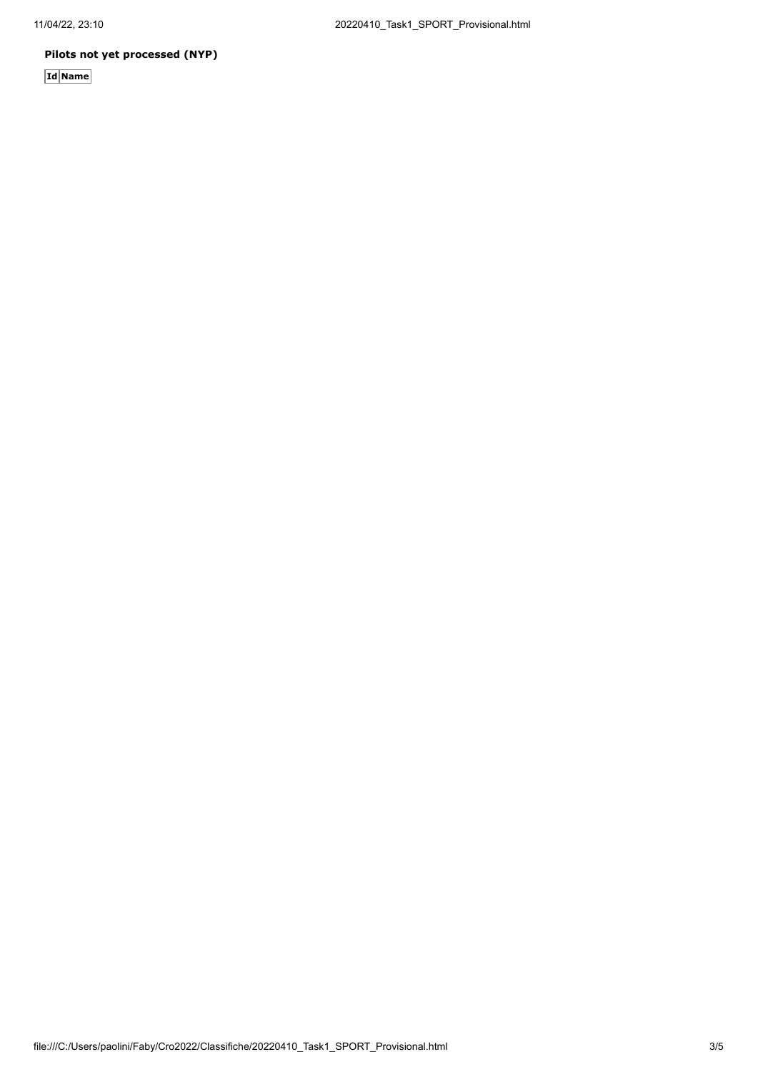## **Pilots not yet processed (NYP)**

**Id Name**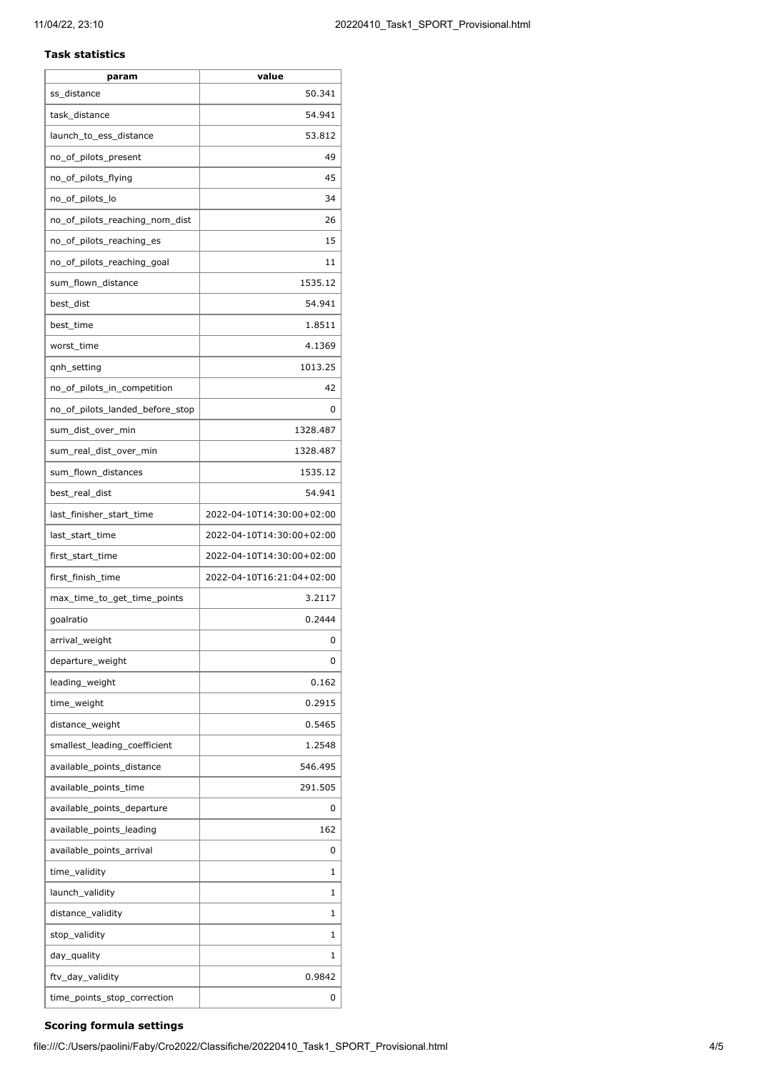### **Task statistics**

| param                           | value                     |
|---------------------------------|---------------------------|
| ss_distance                     | 50.341                    |
| task_distance                   | 54.941                    |
| launch_to_ess_distance          | 53.812                    |
| no_of_pilots_present            | 49                        |
| no_of_pilots_flying             | 45                        |
| no_of_pilots_lo                 | 34                        |
| no_of_pilots_reaching_nom_dist  | 26                        |
| no_of_pilots_reaching_es        | 15                        |
| no_of_pilots_reaching_goal      | 11                        |
| sum_flown_distance              | 1535.12                   |
| best_dist                       | 54.941                    |
| best_time                       | 1.8511                    |
| worst_time                      | 4.1369                    |
| qnh_setting                     | 1013.25                   |
| no_of_pilots_in_competition     | 42                        |
| no of pilots landed before stop | 0                         |
| sum dist over min               | 1328.487                  |
| sum_real_dist_over_min          | 1328.487                  |
| sum_flown_distances             | 1535.12                   |
| best_real_dist                  | 54.941                    |
| last_finisher_start_time        | 2022-04-10T14:30:00+02:00 |
| last_start_time                 | 2022-04-10T14:30:00+02:00 |
| first_start_time                | 2022-04-10T14:30:00+02:00 |
| first finish time               | 2022-04-10T16:21:04+02:00 |
| max_time_to_get_time_points     | 3.2117                    |
| goalratio                       | 0.2444                    |
| arrival_weight                  | 0                         |
| departure_weight                | 0                         |
| leading_weight                  | 0.162                     |
| time_weight                     | 0.2915                    |
| distance_weight                 | 0.5465                    |
| smallest_leading_coefficient    | 1.2548                    |
| available_points_distance       | 546.495                   |
| available_points_time           | 291.505                   |
| available_points_departure      | 0                         |
| available_points_leading        | 162                       |
| available_points_arrival        | 0                         |
| time_validity                   | 1                         |
| launch_validity                 | 1                         |
| distance_validity               | 1                         |
| stop_validity                   | 1                         |
| day_quality                     | 1                         |
| ftv_day_validity                | 0.9842                    |
| time_points_stop_correction     | 0                         |
|                                 |                           |

## **Scoring formula settings**